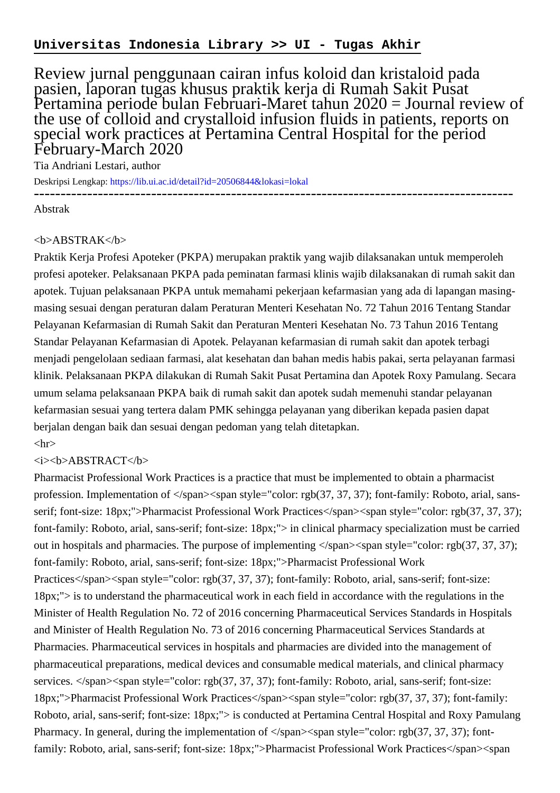## **Universitas Indonesia Library >> UI - Tugas Akhir**

Review jurnal penggunaan cairan infus koloid dan kristaloid pada pasien, laporan tugas khusus praktik kerja di Rumah Sakit Pusat Pertamina periode bulan Februari-Maret tahun 2020 = Journal review of the use of colloid and crystalloid infusion fluids in patients, reports on special work practices at Pertamina Central Hospital for the period February-March 2020

Tia Andriani Lestari, author

Deskripsi Lengkap:<https://lib.ui.ac.id/detail?id=20506844&lokasi=lokal>

------------------------------------------------------------------------------------------

Abstrak

## $$

Praktik Kerja Profesi Apoteker (PKPA) merupakan praktik yang wajib dilaksanakan untuk memperoleh profesi apoteker. Pelaksanaan PKPA pada peminatan farmasi klinis wajib dilaksanakan di rumah sakit dan apotek. Tujuan pelaksanaan PKPA untuk memahami pekerjaan kefarmasian yang ada di lapangan masingmasing sesuai dengan peraturan dalam Peraturan Menteri Kesehatan No. 72 Tahun 2016 Tentang Standar Pelayanan Kefarmasian di Rumah Sakit dan Peraturan Menteri Kesehatan No. 73 Tahun 2016 Tentang Standar Pelayanan Kefarmasian di Apotek. Pelayanan kefarmasian di rumah sakit dan apotek terbagi menjadi pengelolaan sediaan farmasi, alat kesehatan dan bahan medis habis pakai, serta pelayanan farmasi klinik. Pelaksanaan PKPA dilakukan di Rumah Sakit Pusat Pertamina dan Apotek Roxy Pamulang. Secara umum selama pelaksanaan PKPA baik di rumah sakit dan apotek sudah memenuhi standar pelayanan kefarmasian sesuai yang tertera dalam PMK sehingga pelayanan yang diberikan kepada pasien dapat berjalan dengan baik dan sesuai dengan pedoman yang telah ditetapkan.  $\langle$ hr $>$ 

## $\langle i \rangle$   $\langle h \rangle$ ABSTRACT $\langle h \rangle$

Pharmacist Professional Work Practices is a practice that must be implemented to obtain a pharmacist profession. Implementation of  $\langle$ span $>$ span style="color: rgb(37, 37, 37); font-family: Roboto, arial, sansserif; font-size: 18px;">Pharmacist Professional Work Practices</span><span style="color: rgb(37, 37, 37); font-family: Roboto, arial, sans-serif; font-size: 18px;"> in clinical pharmacy specialization must be carried out in hospitals and pharmacies. The purpose of implementing  $\langle$ span $>$ span style="color: rgb(37, 37, 37); font-family: Roboto, arial, sans-serif; font-size: 18px;">Pharmacist Professional Work Practices</span><span style="color: rgb(37, 37, 37); font-family: Roboto, arial, sans-serif; font-size: 18px;"> is to understand the pharmaceutical work in each field in accordance with the regulations in the Minister of Health Regulation No. 72 of 2016 concerning Pharmaceutical Services Standards in Hospitals and Minister of Health Regulation No. 73 of 2016 concerning Pharmaceutical Services Standards at Pharmacies. Pharmaceutical services in hospitals and pharmacies are divided into the management of pharmaceutical preparations, medical devices and consumable medical materials, and clinical pharmacy services. </span><span style="color: rgb(37, 37, 37); font-family: Roboto, arial, sans-serif; font-size: 18px;">Pharmacist Professional Work Practices</span><span style="color: rgb(37, 37, 37); font-family: Roboto, arial, sans-serif; font-size: 18px;"> is conducted at Pertamina Central Hospital and Roxy Pamulang Pharmacy. In general, during the implementation of  $\langle$ span $>\langle$ span style="color: rgb(37, 37, 37); fontfamily: Roboto, arial, sans-serif; font-size: 18px;">Pharmacist Professional Work Practices</span><span